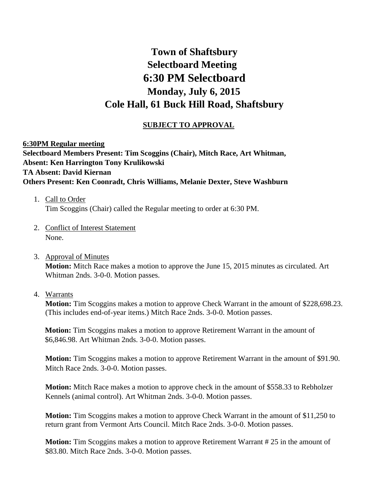# **Town of Shaftsbury Selectboard Meeting 6:30 PM Selectboard Monday, July 6, 2015 Cole Hall, 61 Buck Hill Road, Shaftsbury**

## **SUBJECT TO APPROVAL**

# **6:30PM Regular meeting Selectboard Members Present: Tim Scoggins (Chair), Mitch Race, Art Whitman, Absent: Ken Harrington Tony Krulikowski TA Absent: David Kiernan Others Present: Ken Coonradt, Chris Williams, Melanie Dexter, Steve Washburn**

- 1. Call to Order Tim Scoggins (Chair) called the Regular meeting to order at 6:30 PM.
- 2. Conflict of Interest Statement None.
- 3. Approval of Minutes **Motion:** Mitch Race makes a motion to approve the June 15, 2015 minutes as circulated. Art Whitman 2nds. 3-0-0. Motion passes.
- 4. Warrants

**Motion:** Tim Scoggins makes a motion to approve Check Warrant in the amount of \$228,698.23. (This includes end-of-year items.) Mitch Race 2nds. 3-0-0. Motion passes.

**Motion:** Tim Scoggins makes a motion to approve Retirement Warrant in the amount of \$6,846.98. Art Whitman 2nds. 3-0-0. Motion passes.

**Motion:** Tim Scoggins makes a motion to approve Retirement Warrant in the amount of \$91.90. Mitch Race 2nds. 3-0-0. Motion passes.

**Motion:** Mitch Race makes a motion to approve check in the amount of \$558.33 to Rebholzer Kennels (animal control). Art Whitman 2nds. 3-0-0. Motion passes.

**Motion:** Tim Scoggins makes a motion to approve Check Warrant in the amount of \$11,250 to return grant from Vermont Arts Council. Mitch Race 2nds. 3-0-0. Motion passes.

**Motion:** Tim Scoggins makes a motion to approve Retirement Warrant #25 in the amount of \$83.80. Mitch Race 2nds. 3-0-0. Motion passes.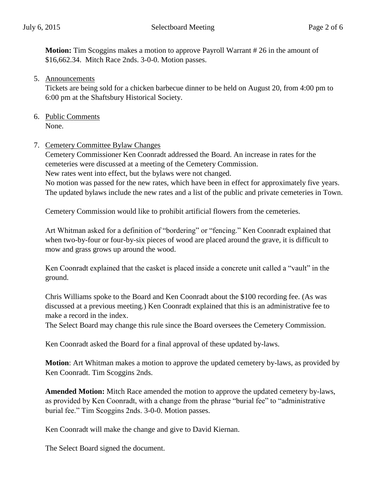**Motion:** Tim Scoggins makes a motion to approve Payroll Warrant #26 in the amount of \$16,662.34. Mitch Race 2nds. 3-0-0. Motion passes.

5. Announcements

Tickets are being sold for a chicken barbecue dinner to be held on August 20, from 4:00 pm to 6:00 pm at the Shaftsbury Historical Society.

- 6. Public Comments None.
- 7. Cemetery Committee Bylaw Changes

Cemetery Commissioner Ken Coonradt addressed the Board. An increase in rates for the cemeteries were discussed at a meeting of the Cemetery Commission. New rates went into effect, but the bylaws were not changed.

No motion was passed for the new rates, which have been in effect for approximately five years. The updated bylaws include the new rates and a list of the public and private cemeteries in Town.

Cemetery Commission would like to prohibit artificial flowers from the cemeteries.

Art Whitman asked for a definition of "bordering" or "fencing." Ken Coonradt explained that when two-by-four or four-by-six pieces of wood are placed around the grave, it is difficult to mow and grass grows up around the wood.

Ken Coonradt explained that the casket is placed inside a concrete unit called a "vault" in the ground.

Chris Williams spoke to the Board and Ken Coonradt about the \$100 recording fee. (As was discussed at a previous meeting.) Ken Coonradt explained that this is an administrative fee to make a record in the index.

The Select Board may change this rule since the Board oversees the Cemetery Commission.

Ken Coonradt asked the Board for a final approval of these updated by-laws.

**Motion**: Art Whitman makes a motion to approve the updated cemetery by-laws, as provided by Ken Coonradt. Tim Scoggins 2nds.

**Amended Motion:** Mitch Race amended the motion to approve the updated cemetery by-laws, as provided by Ken Coonradt, with a change from the phrase "burial fee" to "administrative burial fee." Tim Scoggins 2nds. 3-0-0. Motion passes.

Ken Coonradt will make the change and give to David Kiernan.

The Select Board signed the document.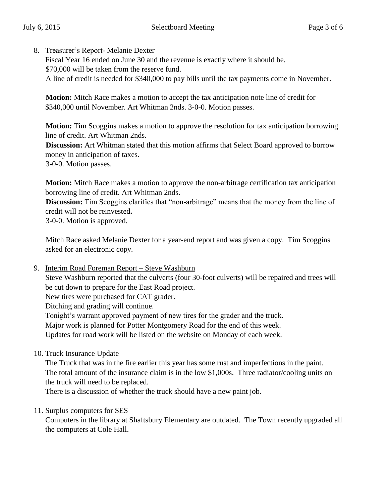8. Treasurer's Report- Melanie Dexter

Fiscal Year 16 ended on June 30 and the revenue is exactly where it should be. \$70,000 will be taken from the reserve fund. A line of credit is needed for \$340,000 to pay bills until the tax payments come in November.

**Motion:** Mitch Race makes a motion to accept the tax anticipation note line of credit for \$340,000 until November. Art Whitman 2nds. 3-0-0. Motion passes.

**Motion:** Tim Scoggins makes a motion to approve the resolution for tax anticipation borrowing line of credit. Art Whitman 2nds.

**Discussion:** Art Whitman stated that this motion affirms that Select Board approved to borrow money in anticipation of taxes.

3-0-0. Motion passes.

**Motion:** Mitch Race makes a motion to approve the non-arbitrage certification tax anticipation borrowing line of credit. Art Whitman 2nds.

**Discussion:** Tim Scoggins clarifies that "non-arbitrage" means that the money from the line of credit will not be reinvested**.**

3-0-0. Motion is approved.

Mitch Race asked Melanie Dexter for a year-end report and was given a copy. Tim Scoggins asked for an electronic copy.

9. Interim Road Foreman Report – Steve Washburn

Steve Washburn reported that the culverts (four 30-foot culverts) will be repaired and trees will be cut down to prepare for the East Road project.

New tires were purchased for CAT grader.

Ditching and grading will continue.

Tonight's warrant approved payment of new tires for the grader and the truck.

Major work is planned for Potter Montgomery Road for the end of this week.

Updates for road work will be listed on the website on Monday of each week.

10. Truck Insurance Update

The Truck that was in the fire earlier this year has some rust and imperfections in the paint. The total amount of the insurance claim is in the low \$1,000s. Three radiator/cooling units on the truck will need to be replaced.

There is a discussion of whether the truck should have a new paint job.

#### 11. Surplus computers for SES

Computers in the library at Shaftsbury Elementary are outdated. The Town recently upgraded all the computers at Cole Hall.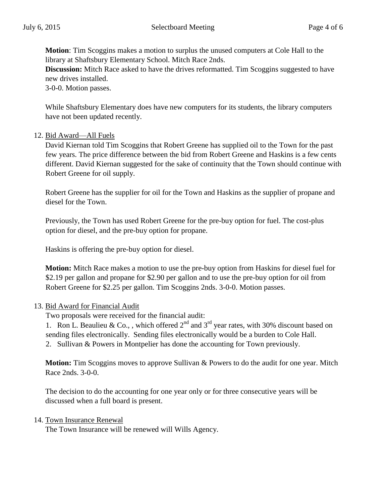**Motion**: Tim Scoggins makes a motion to surplus the unused computers at Cole Hall to the library at Shaftsbury Elementary School. Mitch Race 2nds.

**Discussion:** Mitch Race asked to have the drives reformatted. Tim Scoggins suggested to have new drives installed.

3-0-0. Motion passes.

While Shaftsbury Elementary does have new computers for its students, the library computers have not been updated recently.

#### 12. Bid Award—All Fuels

David Kiernan told Tim Scoggins that Robert Greene has supplied oil to the Town for the past few years. The price difference between the bid from Robert Greene and Haskins is a few cents different. David Kiernan suggested for the sake of continuity that the Town should continue with Robert Greene for oil supply.

Robert Greene has the supplier for oil for the Town and Haskins as the supplier of propane and diesel for the Town.

Previously, the Town has used Robert Greene for the pre-buy option for fuel. The cost-plus option for diesel, and the pre-buy option for propane.

Haskins is offering the pre-buy option for diesel.

**Motion:** Mitch Race makes a motion to use the pre-buy option from Haskins for diesel fuel for \$2.19 per gallon and propane for \$2.90 per gallon and to use the pre-buy option for oil from Robert Greene for \$2.25 per gallon. Tim Scoggins 2nds. 3-0-0. Motion passes.

#### 13. Bid Award for Financial Audit

Two proposals were received for the financial audit:

1. Ron L. Beaulieu & Co., , which offered  $2^{nd}$  and  $3^{rd}$  year rates, with 30% discount based on sending files electronically. Sending files electronically would be a burden to Cole Hall. 2. Sullivan & Powers in Montpelier has done the accounting for Town previously.

**Motion:** Tim Scoggins moves to approve Sullivan & Powers to do the audit for one year. Mitch Race 2nds. 3-0-0.

The decision to do the accounting for one year only or for three consecutive years will be discussed when a full board is present.

#### 14. Town Insurance Renewal

The Town Insurance will be renewed will Wills Agency.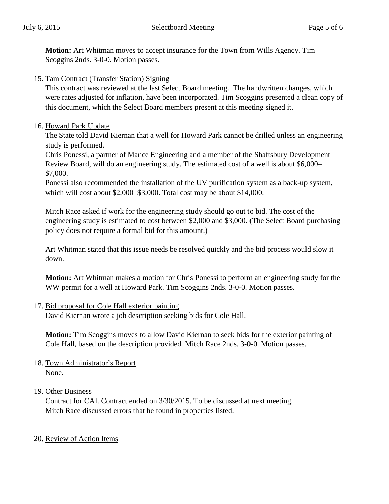**Motion:** Art Whitman moves to accept insurance for the Town from Wills Agency. Tim Scoggins 2nds. 3-0-0. Motion passes.

15. Tam Contract (Transfer Station) Signing

This contract was reviewed at the last Select Board meeting. The handwritten changes, which were rates adjusted for inflation, have been incorporated. Tim Scoggins presented a clean copy of this document, which the Select Board members present at this meeting signed it.

## 16. Howard Park Update

The State told David Kiernan that a well for Howard Park cannot be drilled unless an engineering study is performed.

Chris Ponessi, a partner of Mance Engineering and a member of the Shaftsbury Development Review Board, will do an engineering study. The estimated cost of a well is about \$6,000– \$7,000.

Ponessi also recommended the installation of the UV purification system as a back-up system, which will cost about \$2,000–\$3,000. Total cost may be about \$14,000.

Mitch Race asked if work for the engineering study should go out to bid. The cost of the engineering study is estimated to cost between \$2,000 and \$3,000. (The Select Board purchasing policy does not require a formal bid for this amount.)

Art Whitman stated that this issue needs be resolved quickly and the bid process would slow it down.

**Motion:** Art Whitman makes a motion for Chris Ponessi to perform an engineering study for the WW permit for a well at Howard Park. Tim Scoggins 2nds. 3-0-0. Motion passes.

# 17. Bid proposal for Cole Hall exterior painting

David Kiernan wrote a job description seeking bids for Cole Hall.

**Motion:** Tim Scoggins moves to allow David Kiernan to seek bids for the exterior painting of Cole Hall, based on the description provided. Mitch Race 2nds. 3-0-0. Motion passes.

18. Town Administrator's Report None.

# 19. Other Business

Contract for CAI. Contract ended on 3/30/2015. To be discussed at next meeting. Mitch Race discussed errors that he found in properties listed.

# 20. Review of Action Items